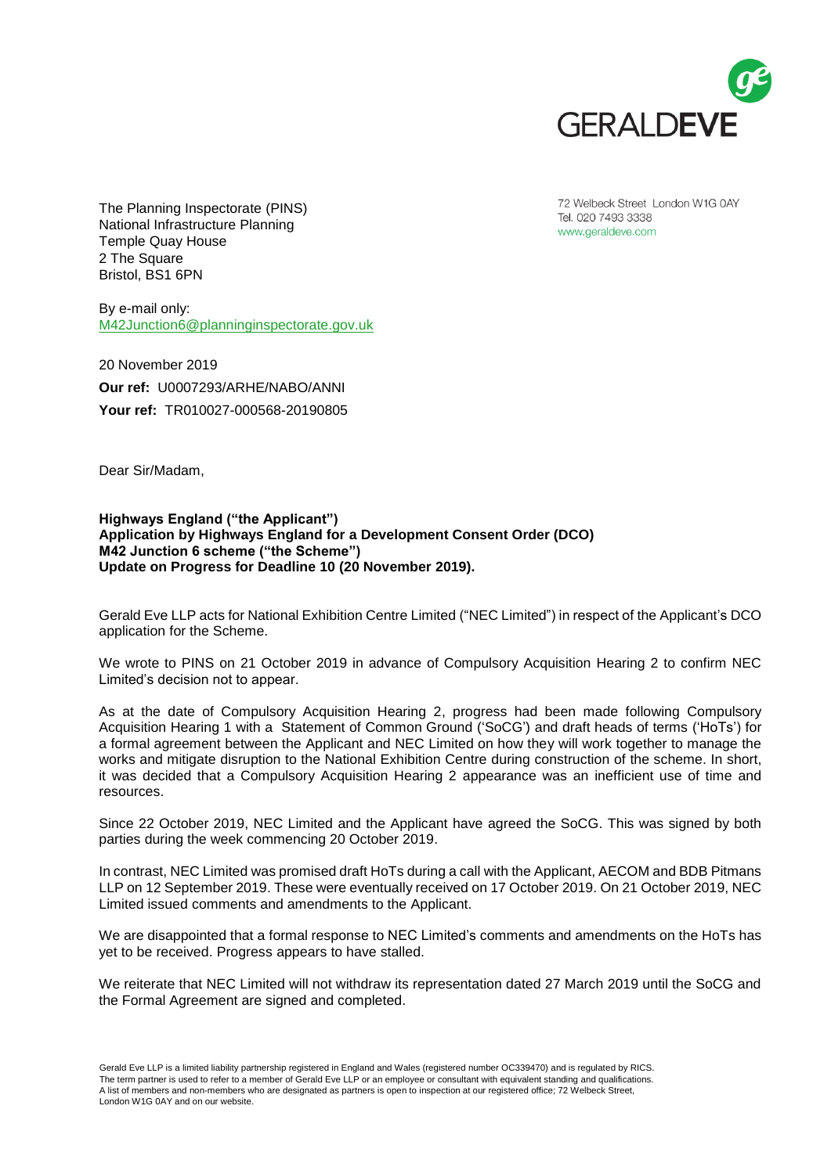

72 Welbeck Street London W1G 0AY Tel. 020 7493 3338 www.geraldeve.com

The Planning Inspectorate (PINS) National Infrastructure Planning Temple Quay House 2 The Square Bristol, BS1 6PN

By e-mail only: [M42Junction6@planninginspectorate.gov.uk](mailto:M42Junction6@planninginspectorate.gov.uk)

20 November 2019 **Our ref:** U0007293/ARHE/NABO/ANNI **Your ref:** TR010027-000568-20190805

Dear Sir/Madam,

**Highways England ("the Applicant") Application by Highways England for a Development Consent Order (DCO) M42 Junction 6 scheme ("the Scheme") Update on Progress for Deadline 10 (20 November 2019).**

Gerald Eve LLP acts for National Exhibition Centre Limited ("NEC Limited") in respect of the Applicant's DCO application for the Scheme.

We wrote to PINS on 21 October 2019 in advance of Compulsory Acquisition Hearing 2 to confirm NEC Limited's decision not to appear.

As at the date of Compulsory Acquisition Hearing 2, progress had been made following Compulsory Acquisition Hearing 1 with a Statement of Common Ground ('SoCG') and draft heads of terms ('HoTs') for a formal agreement between the Applicant and NEC Limited on how they will work together to manage the works and mitigate disruption to the National Exhibition Centre during construction of the scheme. In short, it was decided that a Compulsory Acquisition Hearing 2 appearance was an inefficient use of time and resources.

Since 22 October 2019, NEC Limited and the Applicant have agreed the SoCG. This was signed by both parties during the week commencing 20 October 2019.

In contrast, NEC Limited was promised draft HoTs during a call with the Applicant, AECOM and BDB Pitmans LLP on 12 September 2019. These were eventually received on 17 October 2019. On 21 October 2019, NEC Limited issued comments and amendments to the Applicant.

We are disappointed that a formal response to NEC Limited's comments and amendments on the HoTs has yet to be received. Progress appears to have stalled.

We reiterate that NEC Limited will not withdraw its representation dated 27 March 2019 until the SoCG and the Formal Agreement are signed and completed.

Gerald Eve LLP is a limited liability partnership registered in England and Wales (registered number OC339470) and is regulated by RICS. The term partner is used to refer to a member of Gerald Eve LLP or an employee or consultant with equivalent standing and qualifications. A list of members and non-members who are designated as partners is open to inspection at our registered office; 72 Welbeck Street, London W1G 0AY and on our website.